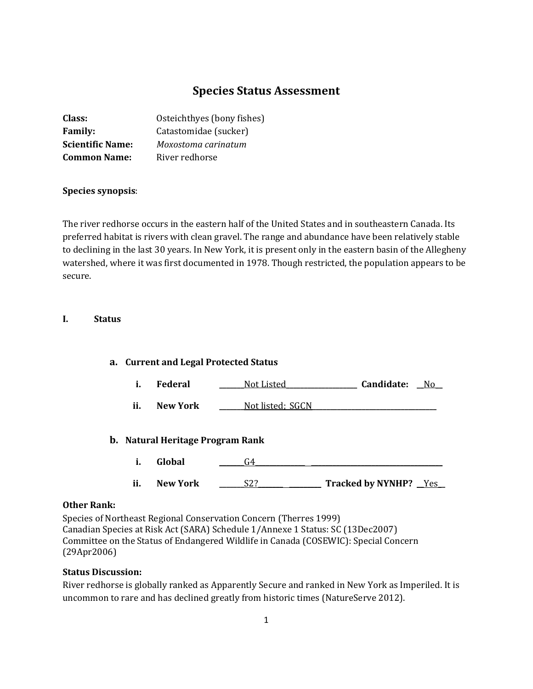# **Species Status Assessment**

| Class:                  | Osteichthyes (bony fishes) |
|-------------------------|----------------------------|
| <b>Family:</b>          | Catastomidae (sucker)      |
| <b>Scientific Name:</b> | Moxostoma carinatum        |
| <b>Common Name:</b>     | River redhorse             |

### **Species synopsis**:

The river redhorse occurs in the eastern half of the United States and in southeastern Canada. Its preferred habitat is rivers with clean gravel. The range and abundance have been relatively stable to declining in the last 30 years. In New York, it is present only in the eastern basin of the Allegheny watershed, where it was first documented in 1978. Though restricted, the population appears to be secure.

### **I. Status**

### **a. Current and Legal Protected Status**

- **i. Federal \_\_\_\_\_\_\_**Not Listed**\_\_\_\_\_\_\_\_\_\_\_\_\_\_\_\_\_\_\_\_ Candidate: \_\_**No**\_\_**
- **ii. New York** \_\_\_\_\_\_<u>Not listed; SGCN</u>

### **b. Natural Heritage Program Rank**

- **i. Global \_\_\_\_\_\_\_**G4**\_\_\_\_\_\_\_\_\_\_\_\_\_\_ \_\_\_\_\_\_\_\_\_\_\_\_\_\_\_\_\_\_\_\_\_\_\_\_\_\_\_\_\_\_\_\_\_\_\_\_\_**
- **ii. New York \_\_\_\_\_\_\_**S2?**\_\_\_\_\_\_\_ \_\_\_\_\_\_\_\_\_ Tracked by NYNHP? \_\_**Yes**\_\_**

### **Other Rank:**

Species of Northeast Regional Conservation Concern (Therres 1999) Canadian Species at Risk Act (SARA) Schedule 1/Annexe 1 Status: SC (13Dec2007) Committee on the Status of Endangered Wildlife in Canada (COSEWIC): Special Concern (29Apr2006)

### **Status Discussion:**

River redhorse is globally ranked as Apparently Secure and ranked in New York as Imperiled. It is uncommon to rare and has declined greatly from historic times (NatureServe 2012).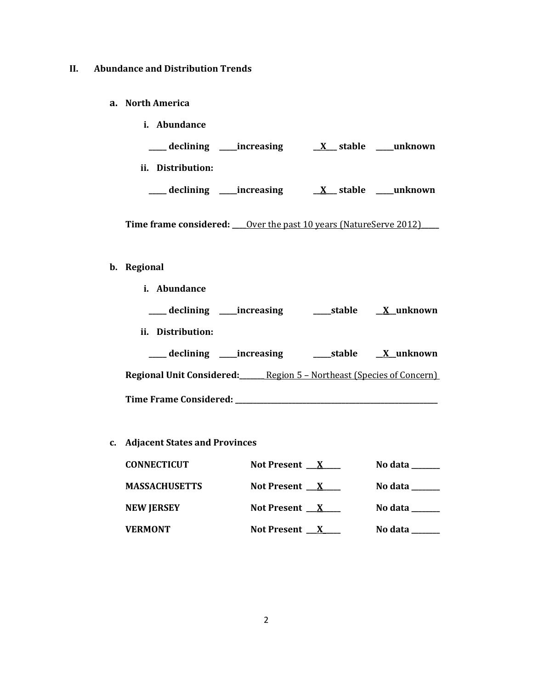### **II. Abundance and Distribution Trends**

**a. North America**

| <i>i.</i> Abundance     |                        |
|-------------------------|------------------------|
| declining<br>increasing | unknown<br>stable<br>X |
| ij.<br>Distribution:    |                        |
| increasing<br>declining | unknown<br>stable      |

Time frame considered: <u>Over the past 10 years (NatureServe 2012)</u>

## **b. Regional**

| i. Abundance                                                                              |                  |
|-------------------------------------------------------------------------------------------|------------------|
| ____ declining _____increasing                                                            | stable X unknown |
| ii. Distribution:                                                                         |                  |
| ____ declining _____increasing                                                            |                  |
| <b>Regional Unit Considered:</b> <u>_______ Region 5 - Northeast (Species of Concern)</u> |                  |
|                                                                                           |                  |

**c. Adjacent States and Provinces**

| <b>CONNECTICUT</b>   | Not Present $\mathbf{X}$ | No data $\qquad \qquad$ |
|----------------------|--------------------------|-------------------------|
| <b>MASSACHUSETTS</b> | Not Present $\mathbf{X}$ | No data                 |
| <b>NEW JERSEY</b>    | Not Present $\mathbf{X}$ | No data $\qquad \qquad$ |
| <b>VERMONT</b>       | Not Present $\mathbf{X}$ | No data                 |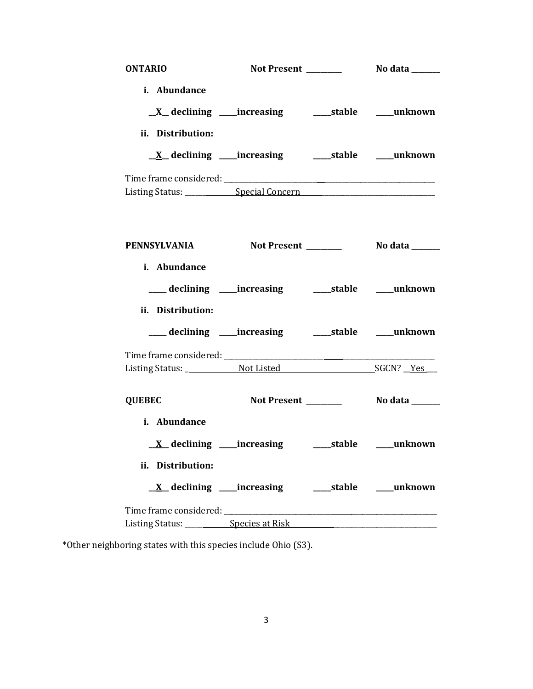| <b>ONTARIO</b>                               | Not Present _______                                         | No data _______                          |
|----------------------------------------------|-------------------------------------------------------------|------------------------------------------|
| i. Abundance                                 |                                                             |                                          |
|                                              | <u>X</u> declining ____increasing ______stable ____unknown  |                                          |
| ii. Distribution:                            |                                                             |                                          |
|                                              | <u>X</u> declining ____increasing ______stable ____unknown  |                                          |
|                                              |                                                             |                                          |
| PENNSYLVANIA                                 |                                                             | Not Present __________    No data ______ |
| i. Abundance                                 |                                                             |                                          |
|                                              | ___ declining ____increasing ______stable ____unknown       |                                          |
| ii. Distribution:                            |                                                             |                                          |
|                                              | ___ declining ____ increasing ______ stable ____ unknown    |                                          |
|                                              |                                                             |                                          |
| <b>QUEBEC</b>                                | Not Present _______                                         | <b>No data</b> ______                    |
| i. Abundance                                 |                                                             |                                          |
|                                              |                                                             |                                          |
| ii. Distribution:                            |                                                             |                                          |
|                                              | <u>X</u> declining ____increasing ______stable _____unknown |                                          |
|                                              |                                                             |                                          |
| Listing Status: _____________Species at Risk |                                                             |                                          |

\*Other neighboring states with this species include Ohio (S3).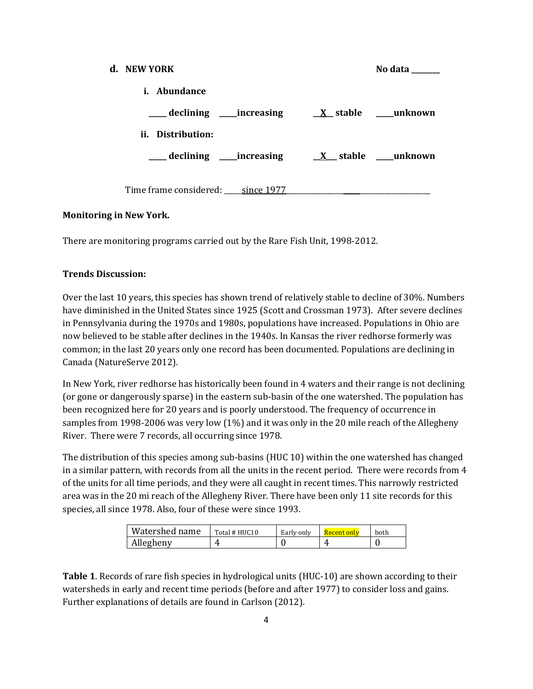| d. NEW YORK                       | No data          |
|-----------------------------------|------------------|
| i. Abundance                      |                  |
| ____ declining _____increasing    | X stable unknown |
| ii. Distribution:                 |                  |
| ____ declining ____ increasing    | X stable unknown |
|                                   |                  |
| Time frame considered: since 1977 |                  |

### **Monitoring in New York.**

There are monitoring programs carried out by the Rare Fish Unit, 1998-2012.

### **Trends Discussion:**

Over the last 10 years, this species has shown trend of relatively stable to decline of 30%. Numbers have diminished in the United States since 1925 (Scott and Crossman 1973). After severe declines in Pennsylvania during the 1970s and 1980s, populations have increased. Populations in Ohio are now believed to be stable after declines in the 1940s. In Kansas the river redhorse formerly was common; in the last 20 years only one record has been documented. Populations are declining in Canada (NatureServe 2012).

In New York, river redhorse has historically been found in 4 waters and their range is not declining (or gone or dangerously sparse) in the eastern sub-basin of the one watershed. The population has been recognized here for 20 years and is poorly understood. The frequency of occurrence in samples from 1998-2006 was very low (1%) and it was only in the 20 mile reach of the Allegheny River. There were 7 records, all occurring since 1978.

The distribution of this species among sub-basins (HUC 10) within the one watershed has changed in a similar pattern, with records from all the units in the recent period. There were records from 4 of the units for all time periods, and they were all caught in recent times. This narrowly restricted area was in the 20 mi reach of the Allegheny River. There have been only 11 site records for this species, all since 1978. Also, four of these were since 1993.

| Watershed name | Total # HUC10 | Early only | <u> Recent only</u> | both |
|----------------|---------------|------------|---------------------|------|
| Allegheny      | ,,,           |            |                     |      |

**Table 1**. Records of rare fish species in hydrological units (HUC-10) are shown according to their watersheds in early and recent time periods (before and after 1977) to consider loss and gains. Further explanations of details are found in Carlson (2012).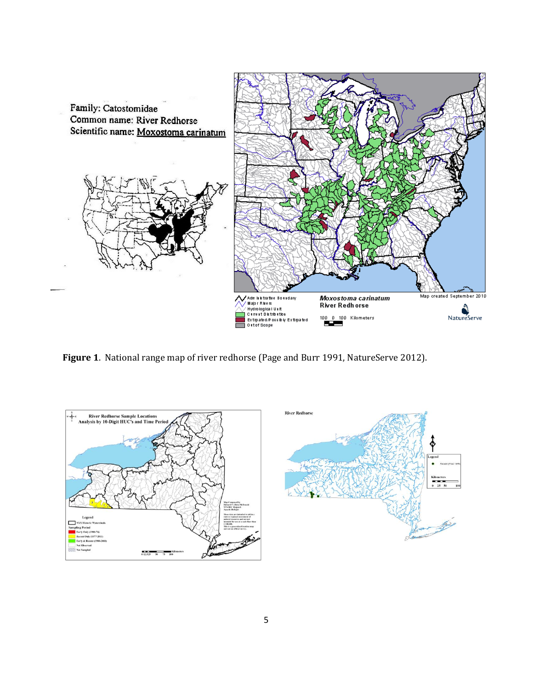

**Figure 1**. National range map of river redhorse (Page and Burr 1991, NatureServe 2012).

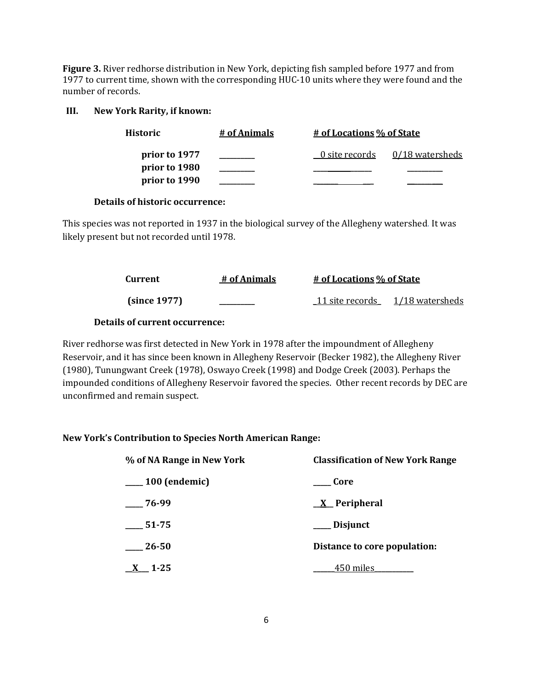**Figure 3.** River redhorse distribution in New York, depicting fish sampled before 1977 and from 1977 to current time, shown with the corresponding HUC-10 units where they were found and the number of records.

#### **III. New York Rarity, if known:**

| Historic      | # of Animals | <u># of Locations % of State</u> |                   |
|---------------|--------------|----------------------------------|-------------------|
| prior to 1977 |              | 0 site records                   | $0/18$ watersheds |
| prior to 1980 |              |                                  |                   |
| prior to 1990 |              |                                  |                   |

#### **Details of historic occurrence:**

This species was not reported in 1937 in the biological survey of the Allegheny watershed. It was likely present but not recorded until 1978.

| Current      | # of Animals | <u># of Locations % of State</u> |                                 |
|--------------|--------------|----------------------------------|---------------------------------|
| (since 1977) |              |                                  | 11 site records 1/18 watersheds |

### **Details of current occurrence:**

River redhorse was first detected in New York in 1978 after the impoundment of Allegheny Reservoir, and it has since been known in Allegheny Reservoir (Becker 1982), the Allegheny River (1980), Tunungwant Creek (1978), Oswayo Creek (1998) and Dodge Creek (2003). Perhaps the impounded conditions of Allegheny Reservoir favored the species. Other recent records by DEC are unconfirmed and remain suspect.

### **New York's Contribution to Species North American Range:**

| % of NA Range in New York | <b>Classification of New York Range</b> |  |
|---------------------------|-----------------------------------------|--|
| $\frac{100}{2}$ (endemic) | Core                                    |  |
| $-76-99$                  | $X$ Peripheral                          |  |
| 51-75                     | ___ Disjunct                            |  |
| 26-50                     | Distance to core population:            |  |
| $X$ 1-25                  | <sub>-</sub> 450 miles                  |  |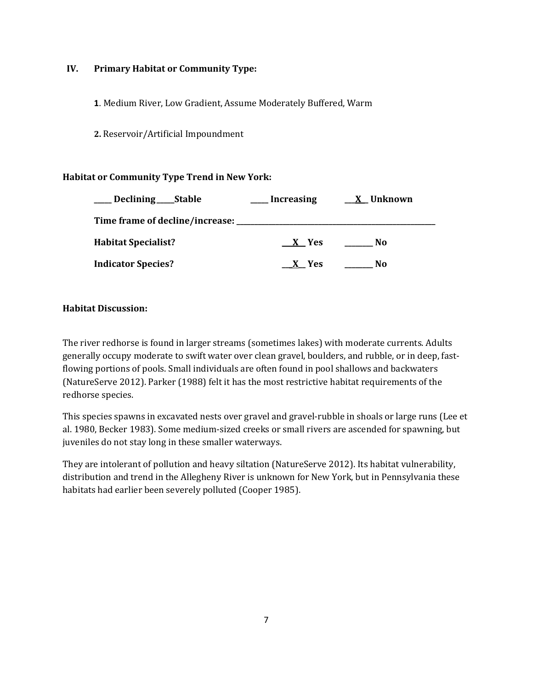### **IV. Primary Habitat or Community Type:**

**1**. Medium River, Low Gradient, Assume Moderately Buffered, Warm

**2.** Reservoir/Artificial Impoundment

### **Habitat or Community Type Trend in New York:**

| Declining _____Stable      | <b>Increasing</b> | X Unknown |
|----------------------------|-------------------|-----------|
|                            |                   |           |
| <b>Habitat Specialist?</b> | X Yes             | No        |
| <b>Indicator Species?</b>  | X Yes             | No        |

### **Habitat Discussion:**

The river redhorse is found in larger streams (sometimes lakes) with moderate currents. Adults generally occupy moderate to swift water over clean gravel, boulders, and rubble, or in deep, fastflowing portions of pools. Small individuals are often found in pool shallows and backwaters (NatureServe 2012). Parker (1988) felt it has the most restrictive habitat requirements of the redhorse species.

This species spawns in excavated nests over gravel and gravel-rubble in shoals or large runs (Lee et al. 1980, Becker 1983). Some medium-sized creeks or small rivers are ascended for spawning, but juveniles do not stay long in these smaller waterways.

They are intolerant of pollution and heavy siltation (NatureServe 2012). Its habitat vulnerability, distribution and trend in the Allegheny River is unknown for New York, but in Pennsylvania these habitats had earlier been severely polluted (Cooper 1985).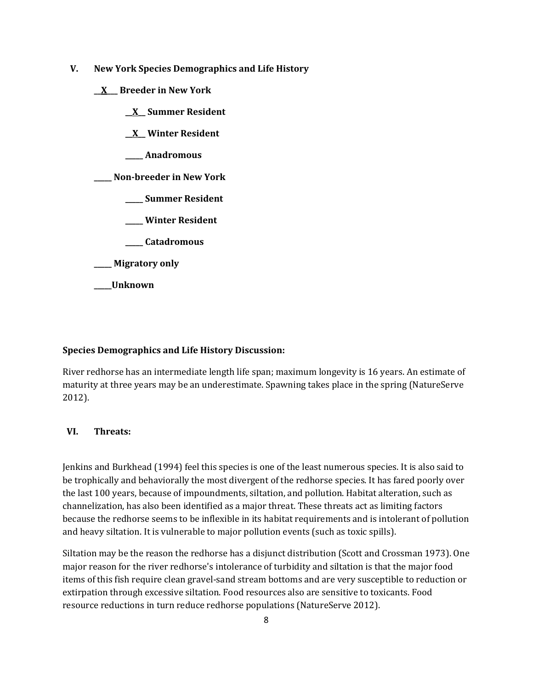- **V. New York Species Demographics and Life History**
	- **\_\_X\_\_\_ Breeder in New York**
		- **\_\_X\_\_ Summer Resident**
		- **\_\_X\_\_ Winter Resident**
		- **\_\_\_\_\_ Anadromous**

**\_\_\_\_\_ Non-breeder in New York**

- **\_\_\_\_\_ Summer Resident**
- **\_\_\_\_\_ Winter Resident**
- **\_\_\_\_\_ Catadromous**

**\_\_\_\_\_ Migratory only**

**\_\_\_\_\_Unknown**

#### **Species Demographics and Life History Discussion:**

River redhorse has an intermediate length life span; maximum longevity is 16 years. An estimate of maturity at three years may be an underestimate. Spawning takes place in the spring (NatureServe 2012).

### **VI. Threats:**

Jenkins and Burkhead (1994) feel this species is one of the least numerous species. It is also said to be trophically and behaviorally the most divergent of the redhorse species. It has fared poorly over the last 100 years, because of impoundments, siltation, and pollution. Habitat alteration, such as channelization, has also been identified as a major threat. These threats act as limiting factors because the redhorse seems to be inflexible in its habitat requirements and is intolerant of pollution and heavy siltation. It is vulnerable to major pollution events (such as toxic spills).

Siltation may be the reason the redhorse has a disjunct distribution (Scott and Crossman 1973). One major reason for the river redhorse's intolerance of turbidity and siltation is that the major food items of this fish require clean gravel-sand stream bottoms and are very susceptible to reduction or extirpation through excessive siltation. Food resources also are sensitive to toxicants. Food resource reductions in turn reduce redhorse populations (NatureServe 2012).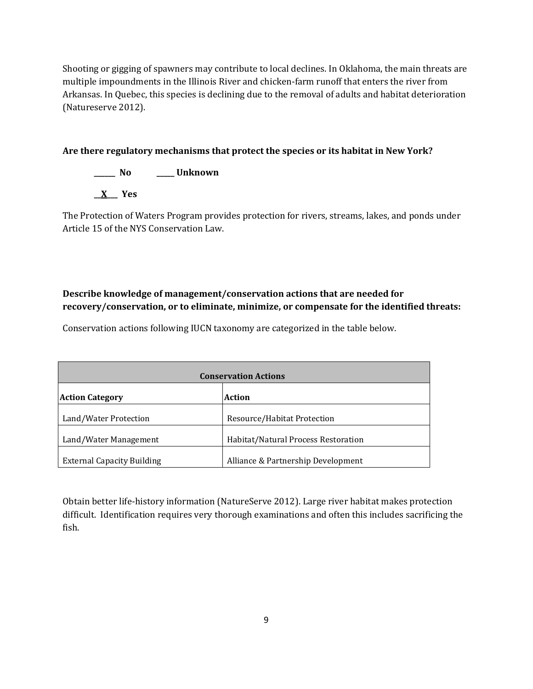Shooting or gigging of spawners may contribute to local declines. In Oklahoma, the main threats are multiple impoundments in the Illinois River and chicken-farm runoff that enters the river from Arkansas. In Quebec, this species is declining due to the removal of adults and habitat deterioration (Natureserve 2012).

### **Are there regulatory mechanisms that protect the species or its habitat in New York?**

**\_\_\_\_\_\_ No \_\_\_\_\_ Unknown**

**\_\_X\_\_\_ Yes** 

The Protection of Waters Program provides protection for rivers, streams, lakes, and ponds under Article 15 of the NYS Conservation Law.

## **Describe knowledge of management/conservation actions that are needed for recovery/conservation, or to eliminate, minimize, or compensate for the identified threats:**

Conservation actions following IUCN taxonomy are categorized in the table below.

| <b>Conservation Actions</b>       |                                     |  |
|-----------------------------------|-------------------------------------|--|
| <b>Action Category</b>            | <b>Action</b>                       |  |
| Land/Water Protection             | Resource/Habitat Protection         |  |
| Land/Water Management             | Habitat/Natural Process Restoration |  |
| <b>External Capacity Building</b> | Alliance & Partnership Development  |  |

Obtain better life-history information (NatureServe 2012). Large river habitat makes protection difficult. Identification requires very thorough examinations and often this includes sacrificing the fish.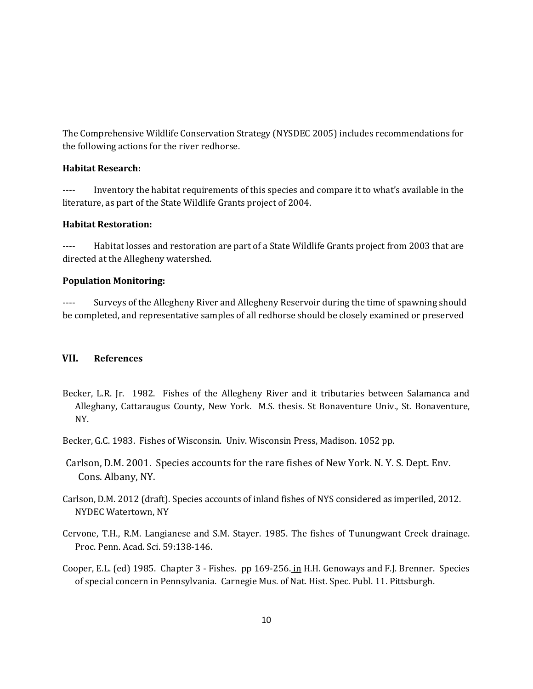The Comprehensive Wildlife Conservation Strategy (NYSDEC 2005) includes recommendations for the following actions for the river redhorse.

#### **Habitat Research:**

---- Inventory the habitat requirements of this species and compare it to what's available in the literature, as part of the State Wildlife Grants project of 2004.

### **Habitat Restoration:**

---- Habitat losses and restoration are part of a State Wildlife Grants project from 2003 that are directed at the Allegheny watershed.

### **Population Monitoring:**

---- Surveys of the Allegheny River and Allegheny Reservoir during the time of spawning should be completed, and representative samples of all redhorse should be closely examined or preserved

### **VII. References**

- Becker, L.R. Jr. 1982. Fishes of the Allegheny River and it tributaries between Salamanca and Alleghany, Cattaraugus County, New York. M.S. thesis. St Bonaventure Univ., St. Bonaventure, NY.
- Becker, G.C. 1983. Fishes of Wisconsin. Univ. Wisconsin Press, Madison. 1052 pp.
- Carlson, D.M. 2001. Species accounts for the rare fishes of New York. N. Y. S. Dept. Env. Cons. Albany, NY.
- Carlson, D.M. 2012 (draft). Species accounts of inland fishes of NYS considered as imperiled, 2012. NYDEC Watertown, NY
- Cervone, T.H., R.M. Langianese and S.M. Stayer. 1985. The fishes of Tunungwant Creek drainage. Proc. Penn. Acad. Sci. 59:138-146.
- Cooper, E.L. (ed) 1985. Chapter 3 Fishes. pp 169-256. in H.H. Genoways and F.J. Brenner. Species of special concern in Pennsylvania. Carnegie Mus. of Nat. Hist. Spec. Publ. 11. Pittsburgh.